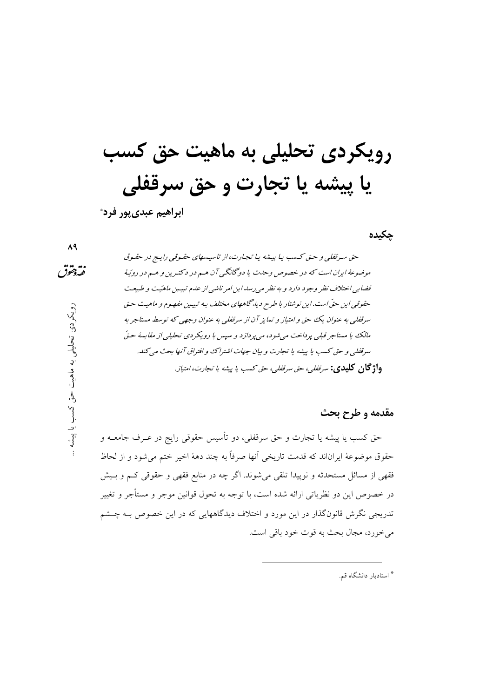# رویکردی تحلیلی به ماهیت حق کسب یا پیشه یا تجارت و حق سرقفلی

ابراهيم عبدي يور فرد\*

حكىدە

 $\mathsf{A}\mathsf{A}$ 

نقهقوق

رویکردی تحلیلی به ماهیت حق کسب یا پیشه

حق سرقفلی و حتی کسب یا پیشه یا تجارت، از تاسیسهای حقیوقی رایج در حقیوق موضوعهٔ ایران است که در خصوص وحلت یا دوگانگی آن هم در دکترین و هم در رویّهٔ قضایی اختلاف نظر وجود دارد و به نظر مه رسد این امر ناشی از عدم تبیین ماهیّت و طبیعت حقوقبي اين حقّ است. اين نوشتار با طرح ديد گاههاي مختلف بـه تبيـين مفهـوم و ماهيت حـق سرقفلی به عنوان یک حق و امتیاز و تمایز آن از سرقفلی به عنوان وجهی که توسط مستاجر به مالک با مستاجر قبلي پر داخت مي شو د، مي پر دازد و سپس با رو بکر دي تحليلي از مقايسهٔ حتّى سرقفلي و حق كسب يا پيشه يا تجارت و بيان جهات اشتراك و افتراق آنها بحث مي كند. **واژ گان كليدي:** سر*ففلي، حق سرففلي، حق كسب يا پيشه يا تجارت، امتياز.* 

مقدمه و طرح بحث

حق کسب یا پیشه یا تجارت و حق سرقفلی، دو تأسیس حقوقی رایج در عــرف جامعــه و حقوق موضوعهٔ ایراناند که قدمت تاریخی آنها صرفاً به چند دههٔ اخیر ختم میشود و از لحاظ فقهی از مسائل مستحدثه و نوپیدا تلقی میشوند. اگر چه در منابع فقهی و حقوقی کـم و بـیش در خصوص این دو نظریاتی ارائه شده است، با توجه به تحول قوانین موجر و مستأجر و تغییر تدریجی نگرش قانونگذار در این مورد و اختلاف دیدگاههایی که در این خصوص بـه چــشم مي خورد، مجال بحث به قوت خود باقي است.

\* استادیار دانشگاه قم.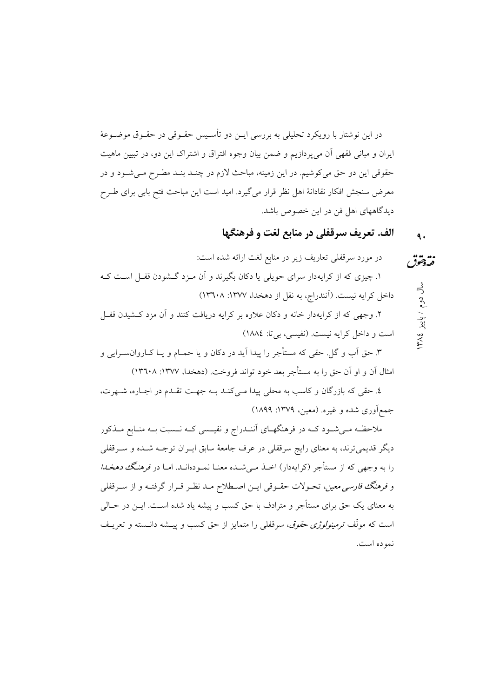در این نوشتار با رویکرد تحلیلی به بررسی ایــن دو تأســیس حقــوقی در حقــوق موضــوعهٔ ایران و مبانی فقهی آن میپردازیم و ضمن بیان وجوه افتراق و اشتراک این دو، در تبیین ماهیت حقوقی این دو حق می کوشیم. در این زمینه، مباحث لازم در چنـد بنـد مطـرح مـیشـود و در معرض سنجش افكار نقادانهٔ اهل نظر قرار میگیرد. امید است این مباحث فتح بابی برای طـرح دیدگاههای اهل فن در این خصوص باشد.

#### الف. تعريف سرقفلي در منابع لغت و فرهنگها  $\ddot{\bullet}$

در مورد سرقفلی تعاریف زیر در منابع لغت ارائه شده است: نقهقوق ۱. چیزی که از کرایهدار سرای حویلی یا دکان بگیرند و آن مـزد گـشودن قفـل اسـت کـه سال دوم / پاییز ۱۳۸۶ داخل کرایه نیست. (اَنندراج، به نقل از دهخدا، ۱۳۷۷: ۱۳٦۰۸) ۲. وجهی که از کرایهدار خانه و دکان علاوه بر کرایه دریافت کنند و آن مزد کـشیدن قفـل است و داخل کرایه نیست. (نفیسی، بی تا: ١٨٨٤) ۳. حق اَب و گل. حقی که مستأجر را پیدا اَید در دکان و یا حمـام و یـا کــاروان،سـرایی و

امثال آن و او آن حق را به مستأجر بعد خود تواند فروخت. (دهخدا، ۱۳۷۷: ۱۳٦۰۸)

٤. حقى كه بازرگان و كاسب به محلى پيدا مـى كنـد بــه جهـت تقـدم در اجـاره، شــهرت، جمع آوري شده و غيره. (معين، ١٣٧٩: ١٨٩٩)

ملاحظـه مـیشـود کــه در فرهنگهـاي أننــدراج و نفيــسي کــه نــسبت بــه منـابع مــذکور دیگر قدیمیترند، به معنای رایج سرقفلی در عرف جامعهٔ سابق ایــران توجــه شــده و ســرقفلم ِ را به وجهی که از مستأجر (کرایهدار) اخـذ مـیشـده معنـا نمـودهانـد. امـا در *فرهنگک دهخـدا* و *فرهنگ فارسی معین*، تحـولات حقـوقی ایــن اصــطلاح مــد نظـر قــرار گرفتــه و از ســرقفلی به معنای یک حق برای مستأجر و مترادف با حق کسب و پیشه یاد شده اسـت. ایــن در حــالی است که مولّف *ترمینولوژی حقوق*، سرقفلی را متمایز از حق کسب و پیــشه دانــسته و تعریــف نموده است.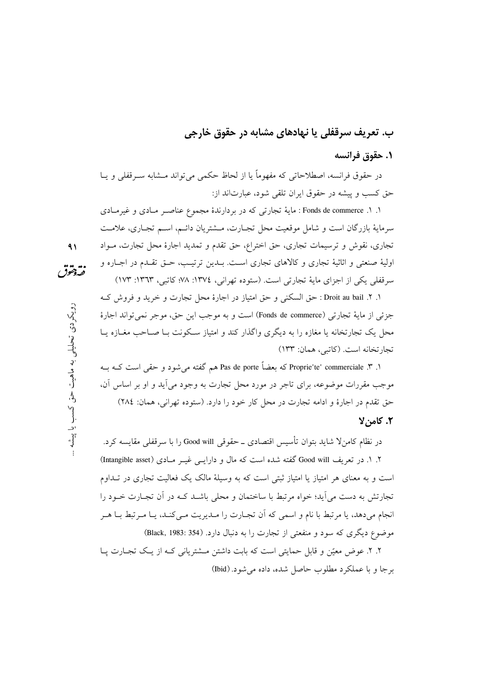# ب. تعریف سرقفلی یا نهادهای مشابه در حقوق خارجی

#### ١. حقوق فرانسه

در حقوق فرانسه، اصطلاحاتی که مفهوماً یا از لحاظ حکمی می تواند مــشابه ســرقفلی و یــا حق کسب و پیشه در حقوق ایران تلقی شود، عبارتاند از:

۱. ۱. Fonds de commerce : مایهٔ تجارتی که در بردارندهٔ مجموع عناصـر مـادی و غیرمـادی سرمايهٔ بازرگان است و شامل موقعيت محل تجـارت، مــشتريان دائــم، اســم تجـاري، علامــت تجاری، نقوش و ترسیمات تجاری، حق اختراع، حق تقدم و تمدید اجارهٔ محل تجارت، مــواد اولیهٔ صنعتی و اثاثیهٔ تجاری و کالاهای تجاری است. بـدین ترتیـب، حـق تقـدم در اجـاره و سرقفلی یکی از اجزای مایهٔ تجارتی است. (ستوده تهرانی، ١٣٧٤: ٧٨؛ کاتبی، ١٣٦٣: ١٧٣)

١. ٢. Droit au bail : حق السكنى و حق امتياز در اجارة محل تجارت و خريد و فروش كـه جزئي از ماية تجارتي (Fonds de commerce) است و به موجب اين حق، موجر نمي تواند اجارة محل یک تجارتخانه یا مغازه را به دیگری واگذار کند و امتیاز سکونت بـا صـاحب مغــازه یــا تجار تخانه است. (كاتبي، همان: ١٣٣)

۱. ۳. Proprie'te' commerciale که بعضاً Pas de porte هم گفته می شود و حقی است کـه بــه موجب مقررات موضوعه، براي تاجر در مورد محل تجارت به وجود مي أيد و او بر اساس أن، حق تقدم در اجارهٔ و ادامه تجارت در محل کار خود را دارد. (ستوده تهرانی، همان: ٢٨٤)

#### ٢. كامن لا

در نظام کامنلا شاید بتوان تأسیس اقتصادی ــ حقوقی Good will را با سرقفلی مقایسه کرد. ۲. ۱. در تعریف Good will گفته شده است که مال و دارایـبی غیــر مــادی (Intangible asset) است و به معنای هر امتیاز یا امتیاز ثبتی است که به وسیلهٔ مالک یک فعالیت تجاری در تــداوم تجارتش به دست می آید؛ خواه مرتبط با ساختمان و محلی باشــد کــه در آن تجــارت خــود را انجام ميدهد، يا مرتبط با نام و اسمي كه أن تجـارت را مـديريت مـيكنـد، يـا مـرتبط بـا هـر موضوع دیگری که سود و منفعتی از تجارت را به دنبال دارد. (Black, 1983: 354)

۲. ۲. عوض معیّن و قابل حمایتی است که بابت داشتن مــشتریانی کــه از یـک تجــارت پــا برجا و با عملکرد مطلوب حاصل شده، داده می شود. (Ibid)

 $\mathbf{A}$ نقهقوق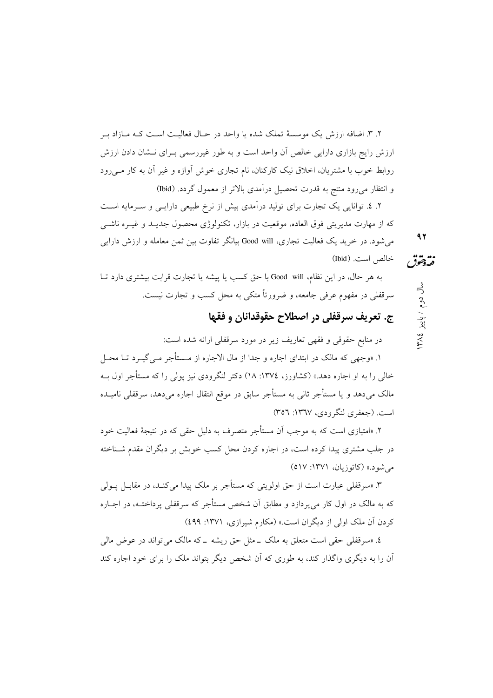۲. ۳. اضافه ارزش یک موسسهٔ تملک شده یا واحد در حـال فعالیـت اسـت کـه مـازاد بـر ارزش رایج بازاری دارایی خالص آن واحد است و به طور غیررسمی بـرای نــشان دادن ارزش روابط خوب با مشتریان، اخلاق نیک کارکنان، نام تجاری خوش آوازه و غیر آن به کار مــی(ود و انتظار میرود منتج به قدرت تحصیل درآمدی بالاتر از معمول گردد. (Ibid)

۲. ٤. توانایی یک تجارت برای تولید درآمدی بیش از نرخ طبیعی دارایـی و سـرمایه اسـت که از مهارت مدیریتی فوق العاده، موقعیت در بازار، تکنولوژی محصول جدیـد و غیـره ناشـی 97 می شود. در خرید یک فعالیت تجاری، Good will بیانگر تفاوت بین ثمن معامله و ارزش دارایی خالص است. (Ibid) فتردمقق

به هر حال، در این نظام، Good will با حق کسب یا پیشه یا تجارت قرابت بیشتری دارد تــا سرقفلي در مفهوم عرفي جامعه، و ضرورتاً متكي به محل كسب و تجارت نيست.

# ج. تعريف سرقفلي در اصطلاح حقوقدانان و فقها

در منابع حقوقی و فقهی تعاریف زیر در مورد سرقفلی ارائه شده است:

۱. «وجهی که مالک در ابتدای اجاره و جدا از مال الاجاره از مــستأجر مــی گیــرد تــا محــل خالی را به او اجاره دهد.» (کشاورز، ١٣٧٤: ١٨) دکتر لنگرودی نیز پولی را که مستأجر اول بـه مالک میٖدهد و یا مستأجر ثانی به مستأجر سابق در موقع انتقال اجاره میٖدهد، سرقفلی نامیــده است. (جعفري لنگرودي، ١٣٦٧: ٣٥٦)

۲. «امتبازی است که به موجب اَن مستأجر متصرف به دلیل حقی که در نتیجهٔ فعالیت خود در جلب مشتری پیدا کرده است، در اجاره کردن محل کسب خویش بر دیگران مقدم شـناخته مي شود.» (كاتوزيان، ١٣٧١: ٥١٧)

۳. «سرقفلی عبارت است از حق اولویتی که مستأجر بر ملک پیدا می کنـد، در مقابــل یــولی که به مالک در اول کار می یردازد و مطابق آن شخص مستأجر که سرقفلی پرداختــه، در اجــاره کردن آن ملک اولی از دیگران است.» (مکارم شیرازی، ۱۳۷۱: ٤٩٩)

٤. «سرقفلي حقى است متعلق به ملک \_مثل حق ريشه \_که مالک مي تواند در عوض مالي آن را به دیگری واگذار کند، به طوری که آن شخص دیگر بتواند ملک را برای خود اجاره کند

سال دوم / پاییز ١٣٨٤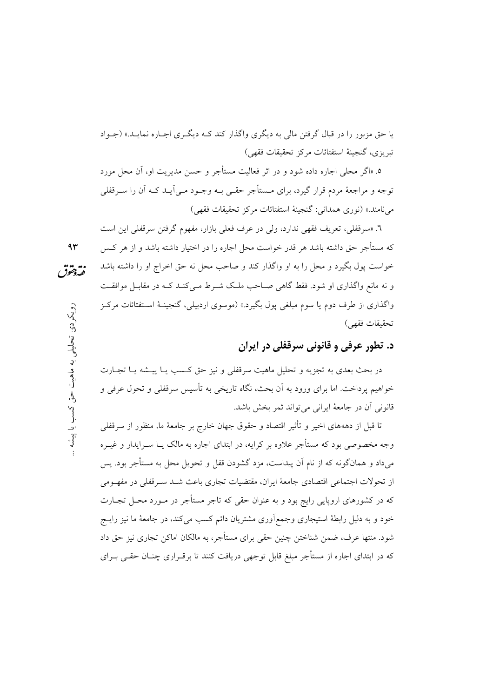یا حق مزبور را در قبال گرفتن مالی به دیگری واگذار کند کــه دیگــری اجــاره نمایــد.» (جــواد تبريزي، گنجينهٔ استفتائات مركز تحقيقات فقهي)

٥. «اگر محلي اجاره داده شود و در اثر فعاليت مستأجر و حسن مديريت او، آن محل مورد توجه و مراجعهٔ مردم قرار گیرد، برای مــستأجر حقــی بــه وجــود مــی]یــد کــه آن را ســرقفلی مي نامند.» (نوري همداني: گنجينهٔ استفتائات مركز تحقيقات فقهي)

٦. «سرقفلي، تعريف فقهي ندارد، ولي در عرف فعلي بازار، مفهوم گرفتن سرقفلي اين است که مستأجر حق داشته باشد هر قدر خواست محل اجاره را در اختیار داشته باشد و از هر کـس خواست یول بگیرد و محل را به او واگذار کند و صاحب محل نه حق اخراج او را داشته باشد نقهقوق و نه مانع واگذاری او شود. فقط گاهی صـاحب ملـک شـرط مـی کنـد کـه در مقابـل موافقـت واگذاری از طرف دوم یا سوم مبلغی یول بگیرد.» (موسوی اردبیلی، گنجینـهٔ اسـتفتائات مرکـز تحقيقات فقهي)

# د. تطور عرفي و قانوني سرقفلي در ايران

در بحث بعدي به تجزيه و تحليل ماهيت سرقفلي و نيز حق كـسب يــا پيــشه يــا تجــارت خواهیم پرداخت. اما برای ورود به آن بحث، نگاه تاریخی به تأسیس سرقفلی و تحول عرفی و قانونی آن در جامعهٔ ایرانی می تواند ثمر بخش باشد.

تا قبل از دهههای اخیر و تأثیر اقتصاد و حقوق جهان خارج بر جامعهٔ ما، منظور از سرقفلی وجه مخصوصی بود که مستأجر علاوه بر کرایه، در ابتدای اجاره به مالک یــا ســرایدار و غیــره میداد و همانگونه که از نام آن پیداست، مزد گشودن قفل و تحویل محل به مستأجر بود. پس از تحولات اجتماعی اقتصادی جامعهٔ ایران، مقتضیات تجاری باعث شـد سـرقفلی در مفهـومی که در کشورهای اروپایی رایج بود و به عنوان حقی که تاجر مستأجر در مـورد محـل تجـارت خود و به دلیل رابطهٔ استیجاری وجمعآوری مشتریان دائم کسب می کند، در جامعهٔ ما نیز رایــج شود. منتها عرف، ضمن شناختن چنین حقی برای مستأجر، به مالکان اماکن تجاری نیز حق داد که در ابتدای اجاره از مستأجر مبلغ قابل توجهی دریافت کنند تا برقــراری چنــان حقــی بــرای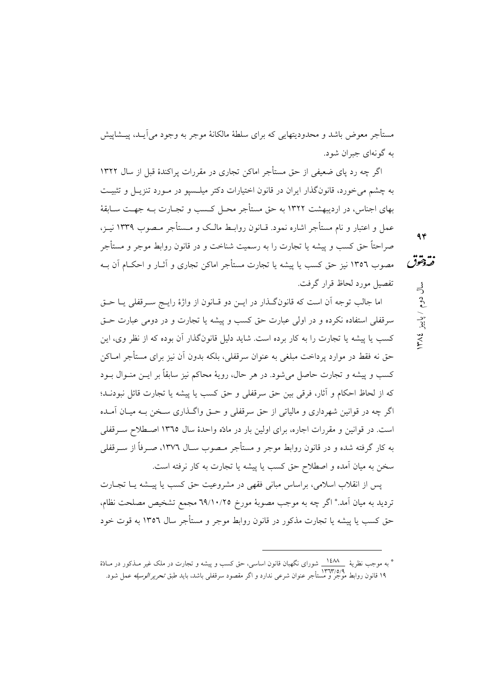مستأجر معوض باشد و محدودیتهایی که برای سلطهٔ مالکانهٔ موجر به وجود می آیـد، پیــشاییش به گونهای جبران شود.

اگر چه رد پای ضعیفی از حق مستأجر اماکن تجاری در مقررات پراکندهٔ قبل از سال ۱۳۲۲ به چشم می خورد، قانونگذار ایران در قانون اختیارات دکتر میلـسیو در مـورد تنزیـل و تثبیـت بهای اجناس، در اردیبهشت ۱۳۲۲ به حق مستأجر محـل کـسب و تجـارت بــه جهـت ســابقهٔ عمل و اعتبار و نام مستأجر اشاره نمود. قـانون روابـط مالـک و مــستأجر مـصوب ١٣٣٩ نيـز، صراحتاً حق کسب و پیشه یا تجارت را به رسمیت شناخت و در قانون روابط موجر و مستأجر مصوب ١٣٥٦ نيز حق كسب يا پيشه يا تجارت مستأجر اماكن تجاري و آثــار و احكــام آن بــه

اما جالب توجه آن است که قانونگذار در ایــن دو قــانون از واژهٔ رایــج ســرقفلی یــا حــق سرقفلی استفاده نکرده و در اولی عبارت حق کسب و پیشه یا تجارت و در دومی عبارت حـق کسب یا پیشه یا تجارت را به کار برده است. شاید دلیل قانونگذار آن بوده که از نظر وی، این حق نه فقط در موارد پرداخت مبلغی به عنوان سرقفلی، بلکه بدون آن نیز برای مستأجر امـاکن کسب و پیشه و تجارت حاصل میشود. در هر حال، رویهٔ محاکم نیز سابقاً بر ایــن منــوال بــود كه از لحاظ احكام و آثار، فرقي بين حق سرقفلي و حق كسب يا پيشه يا تجارت قائل نبودنـد؛ اگر چه در قوانین شهرداری و مالیاتی از حق سرقفلی و حـق واگـذاری سـخن بـه میـان آمـده است. در قوانین و مقررات اجاره، برای اولین بار در مادّه واحدهٔ سال ۱۳٦٥ اصطلاح سـرقفلی به کار گرفته شده و در قانون روابط موجر و مستأجر مـصوب ســال ١٣٧٦، صــرفاً از ســرقفلي سخن به میان آمده و اصطلاح حق کسب یا پیشه یا تجارت به کار نرفته است.

يس از انقلاب اسلامي، براساس مباني فقهي در مشروعيت حق كسب يا پيــشه يــا تجــارت تردید به میان آمد.\* اگر چه به موجب مصوبهٔ مورخ ٦٩/١٠/٢٥ مجمع تشخیص مصلحت نظام، حق کسب یا پیشه یا تجارت مذکور در قانون روابط موجر و مستأجر سال ۱۳۵۲ به قوت خود  $94$ 

فتروحقوق

 $\frac{3}{5}$ 

دوم / پاییز

٣٨٤

تفصيل مورد لحاظ قرار گرفت.

<sup>\*</sup> به موجب نظریهٔ مسکلات شورای نگهبان قانون اساسی، حق کسب و پیشه و تجارت در ملک غیر مـذکور در مــادّهٔ ۱۹ قانون روابط موجر و مستأجر عنوان شرعی ندارد و اگر مقصود سرقفلی باشد، باید طبق *تحریر الوسیله ع*مل شود.<br>۱۹ قانون روابط موجر و مستأجر عنوان شرعی ندارد و اگر مقصود سرقفلی باشد، باید طبق *تحریر الوسیله ع*مل شود.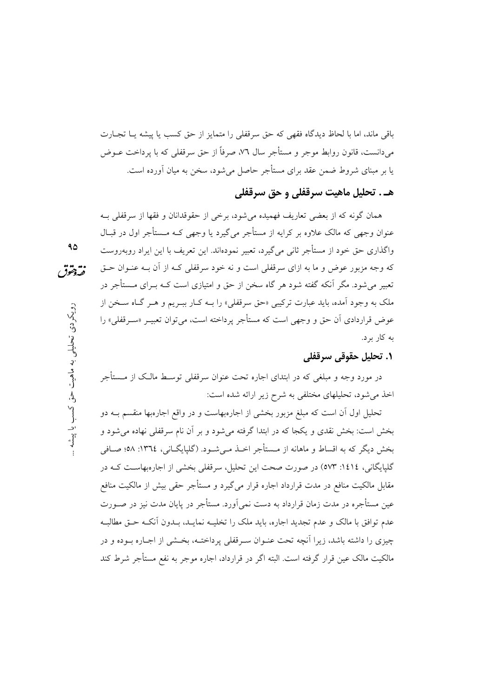باقی ماند، اما با لحاظ دیدگاه فقهی که حق سرقفلی را متمایز از حق کسب یا پیشه یـا تجـارت می،دانست، قانون روابط موجر و مستأجر سال ۷٦، صرفاً از حق سرقفلی که با پرداخت عــوض یا بر مبنای شروط ضمن عقد برای مستأجر حاصل می شود، سخن به میان آورده است.

## هـ . تحليل ماهيت سرقفلي و حق سرقفلي

همان گونه که از بعضی تعاریف فهمیده میشود، برخی از حقوقدانان و فقها از سرقفلی بـه عنوان وجهي كه مالک علاوه بر کرايه از مستأجر مي گيرد يا وجهي کـه مــستأجر اول در قبــال واگذاري حق خود از مستأجر ثاني مي گيرد، تعبير نمودهاند. اين تعريف با اين ايراد روبهروست که وجه مزبور عوض و ما به ازای سرقفلی است و نه خود سرقفلی کـه از آن بـه عنــوان حــق تعبیر می شود. مگر اّنکه گفته شود هر گاه سخن از حق و امتیازی است کــه بــرای مــستأجر در ملک به وجود اّمده، باید عبارت ترکیبی «حق سرقفلی» را بــه کــار ببــریم و هــر گــاه ســخن از عوض قراردادی اَن حق و وجهی است که مستأجر پرداخته است، می توان تعبیــر «ســرقفلی» را به کار برد.

#### ١. تحليل حقوقي سرقفلي

در مورد وجه و مبلغی که در ابتدای اجاره تحت عنوان سرقفلی توسـط مالـک از مــستأجر اخذ می شود، تحلیلهای مختلفی به شرح زیر ارائه شده است:

تحلیل اول آن است که مبلغ مزبور بخشی از اجارهبهاست و در واقع اجارهبها منقسم بــه دو بخش است: بخش نقدی و یکجا که در ابتدا گرفته می شود و بر آن نام سرقفلی نهاده می شود و بخش دیگر که به اقساط و ماهانه از مـستأجر اخــذ مــیشــود. (گلپایگــانی، ١٣٦٤: ٥٨؛ صــافی گلپایگانی، ١٤١٤: ٥٧٣) در صورت صحت این تحلیل، سرقفلی بخشی از اجارهبهاسـت کــه در مقابل مالکیت منافع در مدت قرارداد اجاره قرار می گیرد و مستأجر حقی بیش از مالکیت منافع عین مستأجره در مدت زمان قرارداد به دست نمی آورد. مستأجر در پایان مدت نیز در صـورت عدم توافق با مالک و عدم تجدید اجاره، باید ملک را تخلیــه نمایــد، بــدون آنکــه حــق مطالبــه چیزی را داشته باشد، زیرا آنچه تحت عنـوان سـرقفلی پرداختـه، بخـشی از اجـاره بـوده و در مالکیت مالک عین قرار گرفته است. البته اگر در قرارداد، اجاره موجر به نفع مستأجر شرط کند

- $90$
- نقهقوق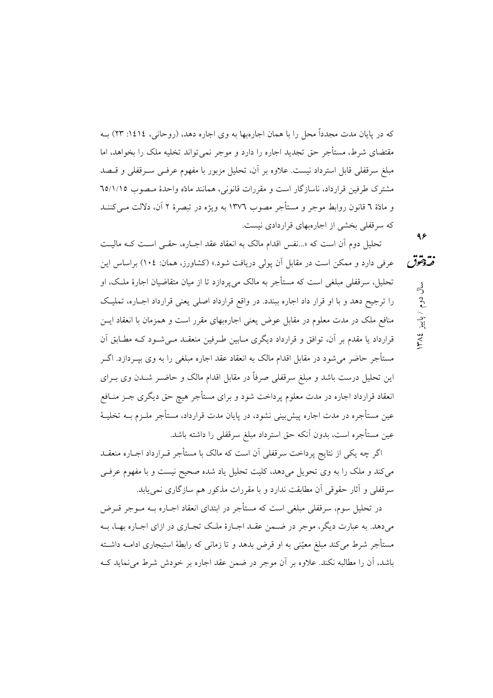که در پایان مدت مجدداً محل را با همان اجارهبها به وی اجاره دهد، (روحانی، ١٤١٤: ٢٣) بــه مقتضای شرط، مستأجر حق تجدید اجاره را دارد و موجر نمی تواند تخلیه ملک را بخواهد، اما مبلغ سرقفلی قابل استرداد نیست. علاوه بر آن، تحلیل مزبور با مفهوم عرفـی سـرقفلی و قـصد مشترک طرفین قرارداد، ناسازگار است و مقررات قانونی، همانند مادّه واحدهٔ مـصوب ٦٥/١/١٥ و مادّة ٦ قانون روابط موجر و مستأجر مصوب ١٣٧٦ به ويژه در تبصرهٔ ٢ آن، دلالت مـي كننــد که سرقفلی بخشی از اجارهبهای قراردادی نیست.

تحلیل دوم آن است که «...نفس اقدام مالک به انعقاد عقد اجـاره، حقـبی اسـت کـه مالیـت فتردمقون عرفی دارد و ممکن است در مقابل آن یولی دریافت شود.» (کشاورز، همان: ۱۰٤) براساس این تحلیل، سرقفلی مبلغی است که مستأجر به مالک می پردازد تا از میان متقاضیان اجارهٔ ملک، او را ترجیح دهد و با او قرار داد اجاره ببندد. در واقع قرارداد اصلی یعنی قرارداد اجباره، تملیک منافع ملک در مدت معلوم در مقابل عوض یعنی اجارهبهای مقرر است و همزمان با انعقاد ایــن قرارداد یا مقدم بر آن، توافق و قرارداد دیگری مـابین طـرفین منعقـد مـیشـود کــه مطـابق آن مستأجر حاضر می شود در مقابل اقدام مالک به انعقاد عقد اجاره مبلغی را به وی بیــردازد. اگــر این تحلیل درست باشد و مبلغ سرقفلی صرفاً در مقابل اقدام مالک و حاضـر شــدن وی بــرای انعقاد قرارداد اجاره در مدت معلوم پرداخت شود و برای مستأجر هیچ حق دیگری جــز منــافع عین مستأجره در مدت اجاره پیش بینی نشود، در پایان مدت قرارداد، مستأجر ملــزم بــه تخلیــهٔ عين مستأجره است، بدون أنكه حق استرداد مبلغ سرقفلي را داشته باشد.

اگر چه یکی از نتایج پرداخت سرقفلی آن است که مالک با مستأجر قــرارداد اجــاره منعقــد می کند و ملک را به وی تحویل میدهد، کلیت تحلیل یاد شده صحیح نیست و با مفهوم عرفی سرقفلی و آثار حقوقی آن مطابقت ندارد و با مقررات مذکور هم سازگاری نمی یابد.

در تحلیل سوم، سرقفلی مبلغی است که مستأجر در ابتدای انعقاد اجـاره بــه مــوجر قــرض میدهد. به عبارت دیگر، موجر در ضـمن عقـد اجـارهٔ ملـک تجـاری در ازای اجـاره بهـا، بـه مستأجر شرط می کند مبلغ معیّنی به او قرض بدهد و تا زمانی که رابطهٔ استیجاری ادامــه داشــته باشد، اَن را مطالبه نکند. علاوه بر اَن موجر در ضمن عقد اجاره بر خودش شرط می نماید ک  $95$ 

 $\stackrel{3}{\neg}$ 

دوم / پاییز

٣٨٤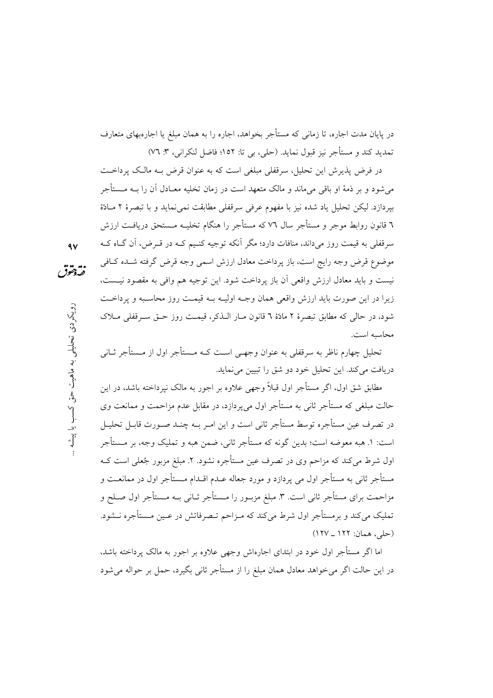در یایان مدت اجاره، تا زمانی که مستأجر بخواهد، اجاره را به همان مبلغ یا اجارهبهای متعارف تمديد كند و مستأجر نيز قبول نمايد. (حلي، بي تا: ١٥٢؛ فاضل لنكراني، ٣: ٧٦)

در فرض پذیرش این تحلیل، سرقفلی مبلغی است که به عنوان قرض بـه مالـک پرداخـت می شود و بر ذمهٔ او باقی می ماند و مالک متعهد است در زمان تخلیه معــادل آن را بــه مــستأجر بيردازد. ليكن تحليل ياد شده نيز با مفهوم عرفي سرقفلي مطابقت نمي نمايد و با تبصرهٔ ٢ مـادّهٔ ٦ قانون روابط موجر و مستأجر سال ٧٦ كه مستأجر را هنگام تخليــه مــستحق دريافــت ارزش سرقفلي به قيمت روز مي داند، منافات دارد؛ مگر آنكه توجيه كنـيم كــه در قــرض، آن گــاه كــه موضوع قرض وجه رايج است، باز يرداخت معادل ارزش اسمى وجه قرض گرفته شـده كـافى نيست و بايد معادل ارزش واقعي أن باز يرداخت شود. اين توجيه هم وافي به مقصود نيـست، زيرا در اين صورت بايد ارزش واقعي همان وجـه اوليـه بـه قيمـت روز محاسـبه و يرداخـت شود، در حالي كه مطابق تبصرهٔ ۲ مادّهٔ ٦ قانون مبار البذكر، قيمت روز حتّى سبرقفلي مبلاک محاسيه است.

تحلیل چهارم ناظر به سرقفلی به عنوان وجهـی اسـت کــه مــستأجر اول از مــستأجر ثــانی دريافت مي كند. اين تحليل خود دو شق را تبيين مي نمايد.

مطابق شق اول، اگر مستأجر اول قبلاً وجهی علاوه بر اجور به مالک نیرداخته باشد، در این حالت مبلغی که مستأجر ثانی به مستأجر اول می یردازد، در مقابل عدم مزاحمت و ممانعت وی در تصرف عین مستأجره توسط مستأجر ثانی است و این امـر بــه چنــد صــورت قابــل تحليــل است: ١. هبه معوضه است؛ بدین گونه که مستأجر ثانی، ضمن هبه و تملیک وجه، بر مــستأجر اول شرط می کند که مزاحم وی در تصرف عین مستأجره نشود. ۲. مبلغ مزبور جُعلی است کـه مستأجر ثانی به مستأجر اول می پردازد و مورد جعاله عــدم اقــدام مــستأجر اول در ممانعــت و مزاحمت برای مستأجر ثانی است. ۳. مبلغ مزبـور را مـستأجر ثـانی بـه مـستأجر اول صـلح و تملیک می کند و برمستأجر اول شرط می کند که مـزاحم تـصرفاتش در عـین مـستأجره نــشود. (حلي، همان: ١٢٢ ـ ١٢٧)

اما اگر مستأجر اول خود در ابتدای اجارهاش وجهی علاوه بر اجور به مالک پرداخته باشد، در این حالت اگر می خواهد معادل همان مبلغ را از مستأجر ثانی بگیرد، حمل بر حواله می شود

 $\mathbf{A}$ 

نقه دهوق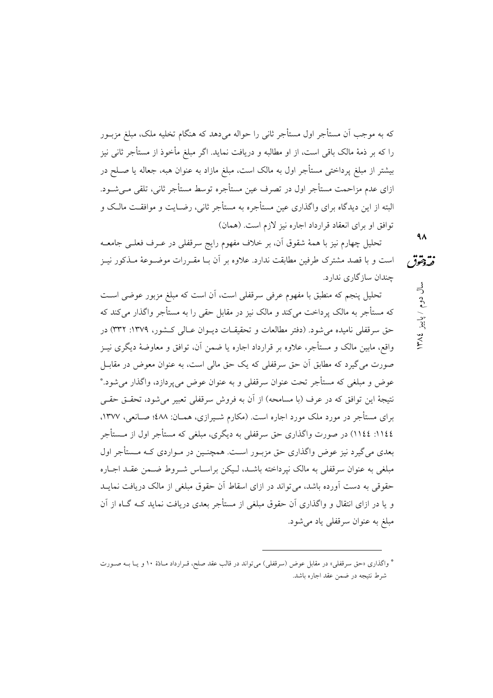که به موجب اَن مستأجر اول مستأجر ثانی را حواله می۵هد که هنگام تخلیه ملک، مبلغ مزبــور را که بر ذمهٔ مالک باقی است، از او مطالبه و دریافت نماید. اگر مبلغ مأخوذ از مستأجر ثانی نیز بیشتر از مبلغ پرداختی مستأجر اول به مالک است، مبلغ مازاد به عنوان هبه، جعاله یا صـلح در ازای عدم مزاحمت مستأجر اول در تصرف عین مستأجره توسط مستأجر ثانی، تلقی مـیشـود. البته از این دیدگاه برای واگذاری عین مستأجره به مستأجر ثانی، رضـایت و موافقـت مالـک و توافق او براي انعقاد قرارداد اجاره نيز لازم است. (همان)

تحلیل چهارم نیز با همهٔ شقوق آن، بر خلاف مفهوم رایج سرقفلی در عــرف فعلــی جامعــه است و با قصد مشترک طرفین مطابقت ندارد. علاوه بر آن بـا مقـررات موضـوعهٔ مـذکور نیـز نقەدققوق چندان سازگاری ندارد. سال دوم / پاییز ١٣٨٤

تحلیل پنجم که منطبق با مفهوم عرفی سرقفلی است، آن است که مبلغ مزبور عوضی است که مستأجر به مالک پرداخت می کند و مالک نیز در مقابل حقی را به مستأجر واگذار می کند که حق سرقفلی نامیده می شود. (دفتر مطالعات و تحقیقـات دیـوان عـالی کـشور، ١٣٧٩: ٣٣٢) در واقع، مابین مالک و مستأجر، علاوه بر قرارداد اجاره یا ضمن آن، توافق و معاوضهٔ دیگری نیـز صورت می گیرد که مطابق آن حق سرقفلی که یک حق مالی است، به عنوان معوض در مقابـل عوض و مبلغی که مستأجر تحت عنوان سرقفلی و به عنوان عوض میپردازد، واگذار میشود.\* نتيجهٔ اين توافق كه در عرف (با مسامحه) از آن به فروش سرقفلی تعبير میشود، تحقــق حقــی برای مستأجر در مورد ملک مورد اجاره است. (مکارم شـیرازی، همـان: ٤٨٨؛ صـانعی، ١٣٧٧، ١١٤٤: ١١٤٤) در صورت واگذاري حق سرقفلي به ديگري، مبلغي که مستأجر اول از مــستأجر بعدی می گیرد نیز عوض واگذاری حق مزبـور اسـت. همچنـین در مـواردی کـه مـستأجر اول مبلغی به عنوان سرقفلی به مالک نپرداخته باشـد، لـیکن براسـاس شــروط ضــمن عقــد اجــاره حقوقی به دست آورده باشد، می تواند در ازای اسقاط آن حقوق مبلغی از مالک دریافت نمایــد و یا در ازای انتقال و واگذاری آن حقوق مبلغی از مستأجر بعدی دریافت نماید کـه گـاه از آن مبلغ به عنوان سرقفلي ياد مي شود.  $4<sub>A</sub>$ 

<sup>\*</sup> واگذاری «حق سرقفلی» در مقابل عوض (سرقفلی) میتواند در قالب عقد صلح، قـرارداد مـادّة ۱۰ و یــا بــه صــورت شرط نتيجه در ضمن عقد اجاره باشد.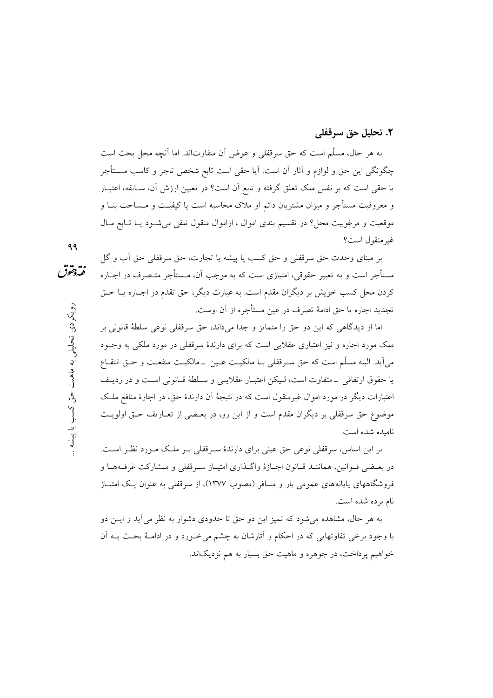#### ٢. تحليل حق سرقفلي

به هر حال، مسلَّم است كه حقَّ سرقفلي و عوض أن متفاوتاند. اما أنچه محل بحث است چگونگی این حق و لوازم و آثار آن است. آیا حقی است تابع شخص تاجر و کاسب مــستأجر یا حقی است که بر نفس ملک تعلق گرفته و تابع اَن است؟ در تعیین ارزش اَن، سـابقه، اعتبــار و معروفیت مستأجر و میزان مشتریان دائم او ملاک محاسبه است یا کیفیــت و مــساحت بنــا و موقعیت و مرغوبیت محل؟ در تقسیم بندی اموال ، ازاموال منقول تلقی می شـود یـا تـابع مـال غير منقول است؟

بر مبنای وحدت حق سرقفلی و حق کسب یا پیشه یا تجارت، حق سرقفلی حق آب و گل مستأجر است و به تعبیر حقوقی، امتیازی است که به موجب آن، مــستأجر متــصرف در اجــاره کردن محل کسب خویش بر دیگران مقدم است. به عبارت دیگر، حق تقدم در اجـاره یــا حــق تجديد اجاره يا حق ادامهٔ تصرف در عين مستأجره از آن اوست.

اما از دیدگاهی که این دو حق را متمایز و جدا میداند، حق سرقفلی نوعی سلطهٔ قانونی بر ملک مورد اجاره و نیز اعتباری عقلایی است که برای دارندهٔ سرقفلی در مورد ملکی به وجـود مي أيد. البته مسلَّم است كه حق سـرقفلي بــا مالكيــت عــين ــ مالكيــت منفعــت و حــق انتقــاع يا حقوق ارتفاقي \_متفاوت است، ليكن اعتبـار عقلايـي و سـلطة قـانوني اسـت و در رديـف اعتبارات دیگر در مورد اموال غیرمنقول است که در نتیجهٔ آن دارندهٔ حق، در اجارهٔ منافع ملک موضوع حق سرقفلي بر ديگران مقدم است و از اين رو، در بعـضي از تعـاريف حـق اولويـت ناميده شده است.

بر این اساس، سرقفلی نوعی حق عینی برای دارندهٔ سـرقفلی بـر ملـک مـورد نظـر اسـت. در بعـضي قــوانين، هماننــد قــانون اجــازهٔ واگــذاري امتيــاز ســرقفلي و مــشاركت غرفــههــا و فروشگاههای پایانههای عمومی بار و مسافر (مصوب ١٣٧٧)، از سرقفلی به عنوان یک امتیاز نام برده شده است.

به هر حال، مشاهده می شود که تمیز این دو حق تا حدودی دشوار به نظر می آید و ایــن دو با وجود برخی تفاوتهایی که در احکام و آثارشان به چشم می خـورد و در ادامـهٔ بحـث بــه آن خواهیم پرداخت، در جوهره و ماهیت حق بسیار به هم نزدیکاند.

99

نقه دخوق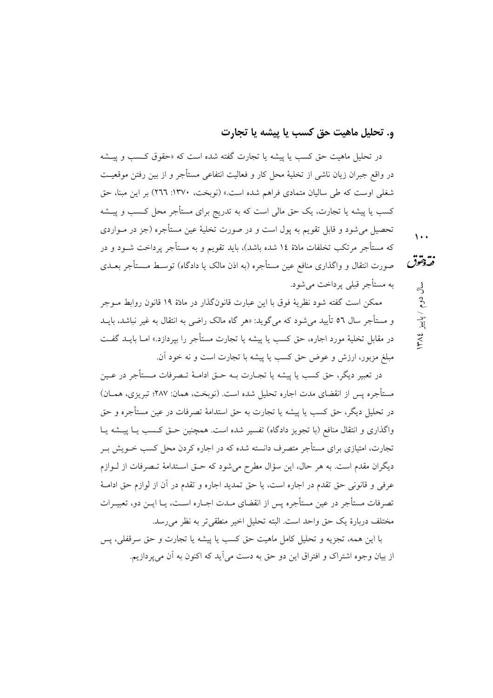## و. تحليل ماهيت حق كسب يا پيشه يا تجارت

در تحلیل ماهیت حق کسب یا پیشه یا تجارت گفته شده است که «حقوق کــسب و پیــشه در واقع جبران زيان ناشي از تخليهٔ محل کار و فعاليت انتفاعي مستأجر و از بين رفتن موقعيـت شغلی اوست که طی سالیان متمادی فراهم شده است.» (نوبخت، ۱۳۷۰: ۲٦٦) بر این مبنا، حق کسب یا پیشه یا تجارت، یک حق مالی است که به تدریج برای مستأجر محل کـسب و پیــشه تحصیل می شود و قابل تقویم به یول است و در صورت تخلیهٔ عین مستأجره (جز در مــواردی که مستأجر مرتکب تخلفات مادّة ١٤ شده باشد)، باید تقویم و به مستأجر پرداخت شــود و در صورت انتقال و واگذاری منافع عین مستأجره (به اذن مالک یا دادگاه) توسـط مــستأجر بعــدی به مستأجر قبلي پرداخت مي شود.

ممکن است گفته شود نظریهٔ فوق با این عبارت قانونگذار در مادّهٔ ۱۹ قانون روابط مـوجر و مستأجر سال ٥٦ تأييد مي شود كه مي گويد: «هر گاه مالک راضي به انتقال به غير نباشد، بايــد در مقابل تخلیهٔ مورد اجاره، حق کسب یا پیشه یا تجارت مستأجر را بپردازد.» امــا بایــد گفــت مبلغ مزبور، ارزش و عوض حق كسب يا پيشه با تجارت است و نه خود آن.

در تعبير ديگر، حق كسب يا پيشه يا تجــارت بــه حــق ادامــهٔ تــصرفات مــستأجر در عــين مستأجره پس از انقضای مدت اجاره تحلیل شده است. (نوبخت، همان: ۲۸۷؛ تبریزی، همــان) در تحليل ديگر، حق كسب يا پيشه يا تجارت به حق استدامهٔ تصرفات در عين مستأجره و حق واگذاری و انتقال منافع (با تجویز دادگاه) تفسیر شده است. همچنین حـق کـسب یـا پیــشه یـا تجارت، امتیازی برای مستأجر متصرف دانسته شده که در اجاره کردن محل کسب خــویش بــر دیگران مقدم است. به هر حال، این سؤال مطرح میشود که حـق اسـتدامهٔ تـصرفات از لـوازم عرفي و قانوني حق تقدم در اجاره است، يا حق تمديد اجاره و تقدم در آن از لوازم حق ادامـهٔ تصرفات مستأجر در عین مستأجره پس از انقضای میدت اجباره است، پیا ایین دو، تعبیرات مختلف دربارهٔ یک حق واحد است. البته تحلیل اخیر منطقی تر به نظر می رسد.

با اين همه، تجزيه و تحليل كامل ماهيت حق كسب يا پيشه يا تجارت و حق سرقفلي، پس از بیان وجوه اشتراک و افتراق این دو حق به دست می آید که اکنون به آن می پردازیم.  $\sqrt{1 + 4}$ 

نقه دخوق

سال دوم / پاییز

٣٨٤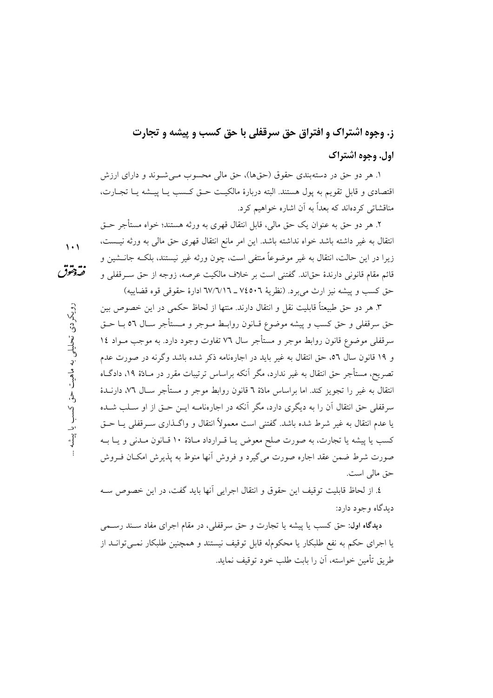# ز. وجوه اشتراک و افتراق حق سرقفلی با حق کسب و پیشه و تجارت اول. وجوه اشتراك

۱. هر دو حق در دستهبندی حقوق (حقها)، حق مالی محسوب مـی شــوند و دارای ارزش اقتصادی و قابل تقویم به پول هستند. البته دربارهٔ مالکیت حـق کـسب یـا پیـشه یـا تجـارت، مناقشاتی کردهاند که بعداً به آن اشاره خواهیم کرد.

٢. هر دو حق به عنوان يک حق مالي، قابل انتقال قهري به ورثه هستند؛ خواه مستأجر حــق انتقال به غير داشته باشد خواه نداشته باشد. اين امر مانع انتقال قهري حق مالي به ورثه نيــست، زيرا در اين حالت، انتقال به غير موضوعاً منتفى است، چون ورثه غير نيستند، بلكــه جانــشين و قائم مقام قانونی دارندهٔ حقاند. گفتنی است بر خلاف مالکیت عرصه، زوجه از حق سـرقفلی و حق كسب و پيشه نيز ارث مي برد. (نظرية ٧٤٥٠٦ ـ ٦٧/٦/١٦ ادارة حقوقي قوه قضاييه)

٣. هر دو حق طبيعتاً قابليت نقل و انتقال دارند. منتها از لحاظ حكمي در اين خصوص بين حق سرقفلي و حق كسب و پيشه موضوع قــانون روابــط مــوجر و مــستأجر ســال ٥٦ بــا حــق سرقفلي موضوع قانون روابط موجر و مستأجر سال ٧٦ تفاوت وجود دارد. به موجب مـواد ١٤ و ۱۹ قانون سال ٥٦، حق انتقال به غير بايد در اجارهنامه ذكر شده باشد وگرنه در صورت عدم تصریح، مستأجر حق انتقال به غیر ندارد، مگر آنکه براساس ترتیبات مقرر در مـادّهٔ ۱۹، دادگــاه انتقال به غير را تجويز كند. اما براساس مادّة ٦ قانون روابط موجر و مستأجر ســال ٧٦، دارنــدهٔ سرقفلی حق انتقال آن را به دیگری دارد، مگر آنکه در اجارهنامـه ایــن حــق از او ســلب شــده يا عدم انتقال به غير شرط شده باشد. گفتني است معمولاً انتقال و واگــذاري ســرقفلي يــا حــق کسب یا پیشه یا تجارت، به صورت صلح معوض یـا قـرارداد مـادّة ۱۰ قـانون مـدنی و یـا بــه صورت شرط ضمن عقد اجاره صورت می گیرد و فروش آنها منوط به پذیرش امکـان فــروش حق مالي است.

٤. از لحاظ قابلیت توقیف این حقوق و انتقال اجرایی آنها باید گفت، در این خصوص سـه ديدگاه وجود دارد:

دیدگاه اول: حق کسب یا پیشه یا تجارت و حق سرقفلی، در مقام اجرای مفاد سـند رسـمی یا اجرای حکم به نفع طلبکار یا محکومله قابل توقیف نیستند و همچنین طلبکار نمـیتوانــد از طريق تأمين خواسته، آن را بابت طلب خود توقيف نمايد.

- $\lambda$
- 
- نقەدققوق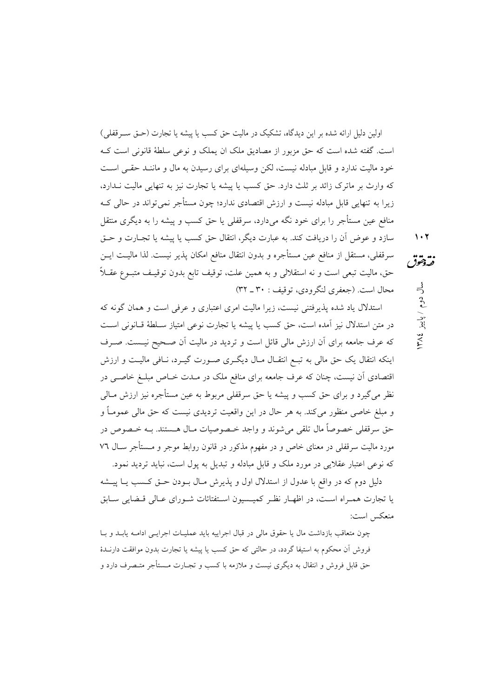اولین دلیل ارائه شده بر این دیدگاه، تشکیک در مالیت حق کسب یا پیشه یا تجارت (حـق ســرقفلی) است. گفته شده است که حق مزبور از مصادیق ملک ان یملک و نوعی سلطهٔ قانونی است کـه خود مالیت ندارد و قابل مبادله نیست، لکن وسیلهای برای رسیدن به مال و ماننـد حقـبی اسـت که وارث بر ماترک زائد بر ثلث دارد. حق کسب یا پیشه یا تجارت نیز به تنهایی مالیت نـدارد، زیرا به تنهایی قابل مبادله نیست و ارزش اقتصادی ندارد؛ چون مستأجر نمیتواند در حالی کـه منافع عین مستأجر را برای خود نگه میدارد، سرقفلی یا حق کسب و پیشه را به دیگری منتقل سازد و عوض آن را دریافت کند. به عبارت دیگر، انتقال حق کسب یا پیشه یا تجـارت و حـق سرقفلي، مستقل از منافع عين مستأجره و بدون انتقال منافع امكان پذير نيست. لذا ماليـت ايــن حق، ماليت تبعي است و نه استقلالي و به همين علت، توقيف تابع بدون توقيـف متبــوع عقــلاً محال است. (جعفري لنگرودي، توقيف : ٣٠ ـ ٣٢)

استدلال یاد شده پذیرفتنی نیست، زیرا مالیت امری اعتباری و عرفی است و همان گونه که در متن استدلال نیز آمده است، حق کسب یا پیشه یا تجارت نوعی امتیاز سـلطهٔ قـانونی اسـت که عرف جامعه برای آن ارزش مالی قائل است و تردید در مالیت آن صـحیح نیـست. صـرف اینکه انتقال یک حق مالی به تبـع انتقـال مـال دیگـری صـورت گیـرد، نــافی مالیــت و ارزش اقتصادی اَن نیست، چنان که عرف جامعه برای منافع ملک در مـدت خـاص مبلــغ خاصــی در نظر میگیرد و برای حق کسب و پیشه یا حق سرقفلی مربوط به عین مستأجره نیز ارزش مــالی و مبلغ خاصی منظور میکند. به هر حال در این واقعیت تردیدی نیست که حق مالی عمومــاً و حق سرقفلي خصوصاً مال تلقي مي¢شوند و واجد خـصوصيات مـال هـستند. بــه خـصوص در مورد مالیت سرقفلی در معنای خاص و در مفهوم مذکور در قانون روابط موجر و مــستأجر ســال ٧٦ که نوعی اعتبار عقلایی در مورد ملک و قابل مبادله و تبدیل به پول است، نباید تردید نمود.

دلیل دوم که در واقع با عدول از استدلال اول و پذیرش مـال بــودن حــق کــسب یــا پیـــشه یا تجارت همـراه اسـت، در اظهـار نظـر كميـسيون اسـتفتائات شـوراي عـالي قـضايي سـابق منعكس است:

چون متعاقب بازداشت مال یا حقوق مالی در قبال اجراییه باید عملیـات اجرایـی ادامــه پابــد و بــا فروش أن محكوم به استيفا گردد، در حالتي كه حق كسب يا پيشه يا تجارت بدون موافقت دارنــدهٔ حق قابل فروش و انتقال به دیگری نیست و ملازمه با کسب و تجـارت مـستأجر متـصرف دارد و

 $\mathcal{N}$ نقەدقىق

سال دوم / پاییز

٣٨٤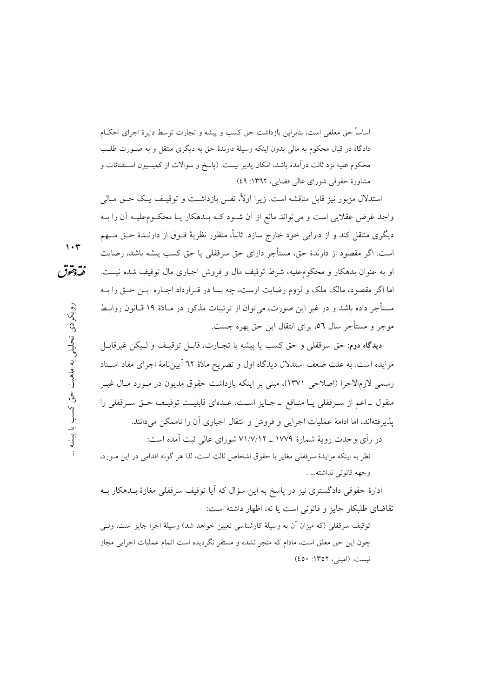اساساً حق معلقی است، بنابراین بازداشت حق کسب و پیشه و تجارت توسط دایرهٔ اجرای احکـام دادگاه در قبال محکوم به مالی بدون اینکه وسیلهٔ دارندهٔ حق به دیگری منتقل و به صـورت طلـب محکوم علیه نزد ثالث درآمده باشد، امکان پذیر نیست. (پاسخ و سوالات از کمیسیون اسـتفتائات و مشاورهٔ حقوقی شورای عالی قضایی، ۱۳٦۲: ٤٩)

استدلال مزبور نیز قابل مناقشه است. زیرا اولاً، نفس بازداشـت و توقیـف یـک حـق مـالی واجد غرض عقلایی است و می تواند مانع از آن شـود کــه بــدهکار یــا محکــومعلیــه آن را بــه دیگری منتقل کند و از دارایی خود خارج سازد. ثانیاً، منظور نظریهٔ فــوق از دارنــدهٔ حــق مــبهم است. اگر مقصود از دارندهٔ حق، مستأجر دارای حق سرقفلی یا حق کسب پیشه باشد، رضایت او به عنوان بدهکار و محکومعلیه، شرط توقیف مال و فروش اجباری مال توقیف شده نیست. اما اگر مقصود، مالک ملک و لزوم رضایت اوست، چه بسا در قبرارداد اجباره این حتی را بـه مستأجر داده باشد و در غیر این صورت، می توان از ترتیبات مذکور در مـادّهٔ ۱۹ قـانون روابـط موجر و مستأجر سال ٥٦، براي انتقال اين حق بهره جست.

ديدگاه دوم: حق سرقفلي و حق كسب يا پيشه يا تجــارت، قابــل توقيــف و لــيكن غيرقابــل مزایده است. به علت ضعف استدلال دیدگاه اول و تصریح مادّهٔ ٦٢ اَیینِنامهٔ اجرای مفاد اسـناد رسمي لازمالاجرا (اصلاحي ١٣٧١)، مبنى بر اينكه بازداشت حقوق مديون در مـورد مـال غيـر منقول ـ اعم از سـرقفلي يـا منـافع ـ جـايز اسـت، عـدهاي قابليـت توقيـف حـق سـرقفلي را يذير فتهاند، اما ادامهٔ عمليات اجرايي و فروش و انتقال اجباري آن را ناممكن مي دانند.

در رأى وحدت رويهٔ شمارهٔ ۱۷۷۹ ـ ۷۱/۷/۱۲ شوراي عالمي ثبت آمده است:

نظر به اینکه مزایدهٔ سرقفلی مغایر با حقوق اشخاص ثالث است، لذا هر گونه اقدامی در این مـورد، وجهه قانوني نداشته... .

ادارهٔ حقوقی دادگستری نیز در پاسخ به این سؤال که آیا توقیف سرقفلی مغازهٔ بــدهکار بــه تقاضای طلبکار جایز و قانونی است یا نه، اظهار داشته است:

توقيف سرقفلي (كه ميزان آن به وسيلة كارشناسي تعيين خواهد شد) وسيلة اجرا جايز است، ولـي چون این حق معلق است، مادام که منجر نشده و مستقر نگردیده است اتمام عملیات اجرایی مجاز نيست. (اميني، ١٣٥٢: ٤٥٠)

 $\mathbf{y} \cdot \mathbf{r}$ 

نقه دخوق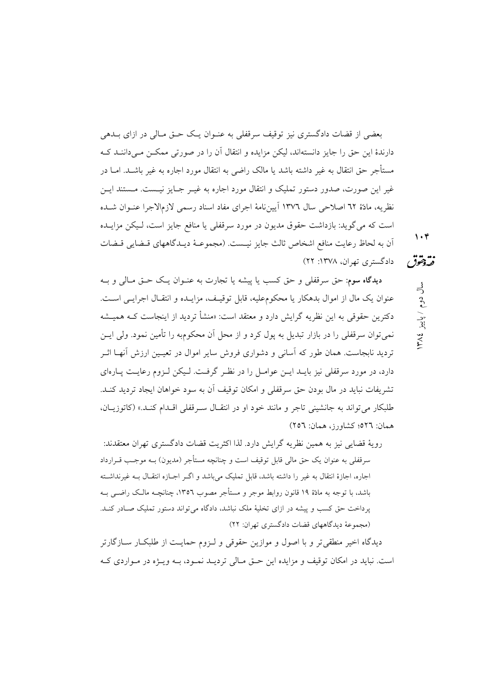بعضی از قضات دادگستری نیز توقیف سرقفلی به عنـوان یـک حـق مـالی در ازای بــدهی دارندهٔ این حق را جایز دانستهاند، لیکن مزایده و انتقال آن را در صورتی ممکــن مــی(دانــد کــه مستأجر حق انتقال به غیر داشته باشد یا مالک راضی به انتقال مورد اجاره به غیر باشــد. امــا در غیر این صورت، صدور دستور تملیک و انتقال مورد اجاره به غیـر جـایز نیـست. مـستند ایـن نظريه، مادّة ٦٢ اصلاحي سال ١٣٧٦ آييننامة اجراي مفاد اسناد رسمي لازمالاجرا عنـوان شـده است که می گوید: بازداشت حقوق مدیون در مورد سرقفلی یا منافع جایز است، لـیکن مزایـده أن به لحاظ رعايت منافع اشخاص ثالث جايز نيـست. (مجموعــهٔ ديــدگاههاي قــضايي قــضات دادگستری تھران، ۱۳۷۸: ۲۲)

 $\mathcal{N} \cdot \mathcal{P}$ 

فتردمقق

سال دوم / پاییز ١٣٨٤

ديدگاه سوم: حق سرقفلي و حق كسب يا پيشه يا تجارت به عنـوان يـك حـق مـالي و بـه عنوان يك مال از اموال بدهكار يا محكوم عليه، قابل توقيف، مزايـده و انتقـال اجرايـي اسـت. دکترین حقوقی به این نظریه گرایش دارد و معتقد است: «منشأ تردید از اینجاست کــه همیــشه نمي توان سرقفلي را در بازار تبديل به يول كرد و از محل آن محكومبه را تأمين نمود. ولي ايــن تردید نابجاست. همان طور که آسانی و دشواری فروش سایر اموال در تعیـین ارزش آنهــا اثــر دارد، در مورد سرقفلی نیز بایـد ایـن عوامـل را در نظـر گرفـت. لـیکن لـزوم رعایـت پـارهای تشريفات نبايد در مال بودن حق سرقفلي و امكان توقيف آن به سود خواهان ايجاد ترديد كنـد. طلبکار می تواند به جانشینی تاجر و مانند خود او در انتقـال سـرقفلی اقـدام کنـد.» (کاتوزیـان، همان: ٥٢٦؛ كشاورز، همان: ٢٥٦)

رويهٔ قضايي نيز به همين نظريه گرايش دارد. لذا اكثريت قضات دادگستري تهران معتقدند: سرقفلی به عنوان یک حق مالی قابل توقیف است و چنانچه مستأجر (مدیون) بــه موجـب قــرارداد اجاره، اجازهٔ انتقال به غیر را داشته باشد، قابل تملیک می باشد و اگـر اجــازه انتقــال بــه غیرنداشــته باشد، با توجه به مادّة ١٩ قانون روابط موجر و مستأجر مصوب ١٣٥٦، چنانچــه مالــک راضـــی بــه یرداخت حق کسب و پیشه در ازای تخلیهٔ ملک نباشد، دادگاه می تواند دستور تملیک صـادر کنـد. (مجموعهٔ دیدگاههای قضات دادگستری تهران: ٢٢)

دیدگاه اخیر منطقی تر و با اصول و موازین حقوقی و لـزوم حمایـت از طلبکـار ســازگارتر است. نباید در امکان توقیف و مزایده این حـق مـالی تردیـد نمـود، بـه ویـژه در مـواردی کـه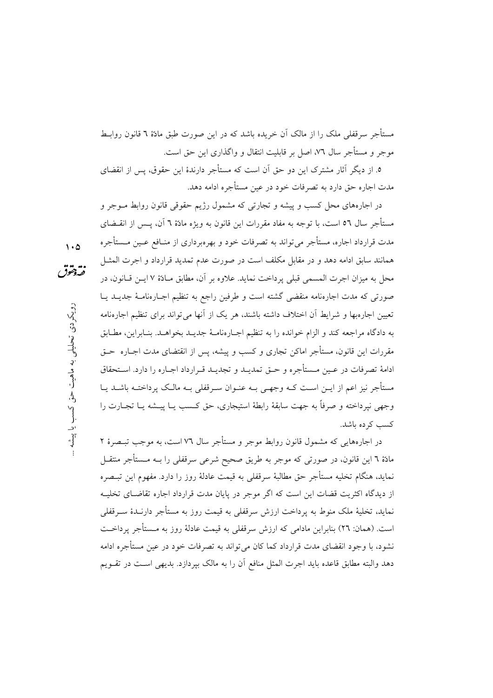مستأجر سرقفلی ملک را از مالک اَن خریده باشد که در این صورت طبق مادّهٔ ٦ قانون روابـط موجر و مستأجر سال ٧٦، اصل بر قابلیت انتقال و واگذاری این حق است.

٥. از دیگر آثار مشترک این دو حق آن است که مستأجر دارندهٔ این حقوق، پس از انقضای مدت اجاره حق دارد به تصرفات خود در عین مستأجره ادامه دهد.

در اجارههای محل کسب و پیشه و تجارتی که مشمول رژیم حقوقی قانون روابط مـوجر و مستأجر سال ٥٦ است، با توجه به مفاد مقررات این قانون به ویژه مادّهٔ ٦ آن، پــس از انقــضای مدت قرارداد اجاره، مستأجر می تواند به تصرفات خود و بهرهبرداری از منـافع عـین مـستأجره همانند سابق ادامه دهد و در مقابل مكلف است در صورت عدم تمدید قرارداد و اجرت المثــل محل به ميزان اجرت المسمى قبلي يرداخت نمايد. علاوه بر آن، مطابق مـادّة ٧ ايــن قــانون، در صورتی که مدت اجارهنامه منقضی گشته است و طرفین راجع به تنظیم اجبارهنامیهٔ جدیبد یبا تعیین اجارهبها و شرایط آن اختلاف داشته باشند، هر یک از آنها می تواند برای تنظیم اجارهنامه به دادگاه مراجعه كند و الزام خوانده را به تنظيم اجـارهنامـهٔ جديـد بخواهـد. بنـابراين، مطـابق مقررات این قانون، مستأجر اماکن تجاری و کسب و پیشه، پس از انقتضای مدت اجــاره حــق ادامهٔ تصرفات در عـین مـستأجره و حـق تمدیـد و تجدیـد قـرارداد اجـاره را دارد. اسـتحقاق مستأجر نیز اعم از ایـن اسـت کـه وجهـی بـه عنـوان سـرقفلی بـه مالـک پرداختـه باشـد پـا وجهی نیرداخته و صرفاً به جهت سابقهٔ رابطهٔ استیجاری، حق کسب پیا پیشه پیا تجبارت را كسب كرده باشد.

در اجارههایی که مشمول قانون روابط موجر و مستأجر سال ۷٦ است، به موجب تبـصرهٔ ۲ مادّهٔ ٦ این قانون، در صورتی که موجر به طریق صحیح شرعی سرقفلی را بــه مــستأجر منتقــل نمايد، هنگام تخليه مستأجر حق مطالبهٔ سرقفلي به قيمت عادلهٔ روز را دارد. مفهوم اين تبـصره از دیدگاه اکثریت قضات این است که اگر موجر در پایان مدت قرارداد اجاره تقاضـای تخلیــه نماید، تخلیهٔ ملک منوط به پرداخت ارزش سرقفلی به قیمت روز به مستأجر دارنـدهٔ سـرقفلی است. (همان: ٢٦) بنابراین مادامی که ارزش سرقفلی به قیمت عادلهٔ روز به مــستأجر پرداخــت نشود، با وجود انقضای مدت قرارداد کما کان می تواند به تصرفات خود در عین مستأجره ادامه دهد والبته مطابق قاعده بايد اجرت المثل منافع آن را به مالک بپردازد. بديهي است در تقـويم

 $\sqrt{\Delta}$ 

نقهقوق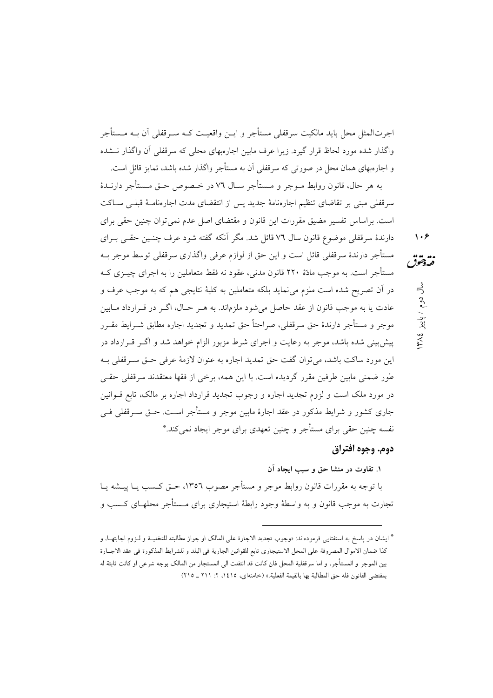اجرتالمثل محل بايد مالكيت سرقفلي مستأجر و ايــن واقعيــت كــه ســرقفلي آن بــه مــستأجر واگذار شده مورد لحاظ قرار گیرد. زیرا عرف مابین اجارهبهای محلی که سرقفلی آن واگذار نــشده

و اجارهبهای همان محل در صورتی که سرقفلی آن به مستأجر واگذار شده باشد، تمایز قائل است. به هر حال، قانون روابط مــوجر و مــستأجر ســال ٧٦ در خــصوص حــق مــستأجر دارنــدهٔ سرقفلی مبنی بر تقاضای تنظیم اجارهنامهٔ جدید پس از انتقضای مدت اجارهنامـهٔ قبلـی سـاکت است. براساس تفسیر مضیق مقررات این قانون و مقتضای اصل عدم نمی توان چنین حقی برای دارندهٔ سرقفلی موضوع قانون سال ۷٦ قائل شد. مگر آنکه گفته شود عرف چنـین حقـی بــرای مستأجر دارندهٔ سرقفلی قائل است و این حق از لوازم عرفی واگذاری سرقفلی توسط موجر بـه نقەدقىق مستأجر است. به موجب مادّهٔ ۲۲۰ قانون مدنی، عقود نه فقط متعاملین را به اجرای چیــزی کــه در آن تصریح شده است ملزم می نماید بلکه متعاملین به کلیهٔ نتایجی هم که به موجب عرف و عادت یا به موجب قانون از عقد حاصل میشود ملزماند. به هـر حـال، اگــر در قــرارداد مــابین موجرٍ و مستأجرٍ دارندهٔ حق سرقفلي، صراحتاً حق تمديد و تجديد اجاره مطابق شـرايط مقـرر پیش بینی شده باشد، موجر به رعایت و اجرای شرط مزبور الزام خواهد شد و اگـر قــرارداد در این مورد ساکت باشد، می توان گفت حق تمدید اجاره به عنوان لازمهٔ عرفی حـق سـرقفلی بـه طور ضمنی مابین طرفین مقرر گردیده است. با این همه، برخی از فقها معتقدند سرقفلی حقـی در مورد ملک است و لزوم تجدید اجاره و وجوب تجدید قرارداد اجاره بر مالک، تابع قــوانین جاری کشور و شرایط مذکور در عقد اجارهٔ مابین موجر و مستأجر اسـت. حــق ســرقفلی فــی نفسه چنین حقی برای مستأجر و چنین تعهدی برای موجر ایجاد نمی کند.\*

### دوم. وجوه افتراق

 $\lambda$ 

سال دوم / پاییز ۱۳۸۶

١. تفاوت در منشا حق و سبب ايجاد آن

با توجه به مقررات قانون روابط موجر و مستأجر مصوب ١٣٥٦، حــق كــسب يــا پيـــشه يــا تجارت به موجب قانون و به واسطهٔ وجود رابطهٔ استیجاری برای مــستأجر محلهــای کــسب و

<sup>\*</sup> ايشان در پاسخ به استفتايي فرمودهاند: «وجوب تجديد الاجارة على المالک او جواز مطالبته للتخليــة و لــزوم اجابتهــا، و كذا ضمان الاموال المصروفة على المحل الاستيجاري تابع للقوانين الجارية في البلد و للشرايط المذكورة في عقد الاجــارة بين الموجر و المستأجر، و اما سرقفلية المحل فان كانت قد انتقلت الى المستجار من المالك بوجه شرعى او كانت ثابتة له بمقتضى القانون فله حق المطالبة بها بالقيمة الفعلية.» (خامنهاي، ١٤١٥، ٢: ٢١١ \_ ٢١٥)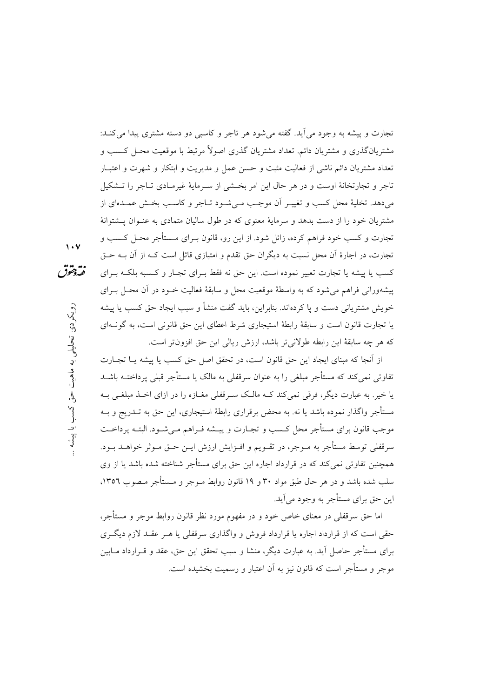تجارت و پیشه به وجود می اَید. گفته می شود هر تاجر و کاسبی دو دسته مشتری پیدا می کنـد: مشتریانگذری و مشتریان دائم. تعداد مشتریان گذری اصولاً مرتبط با موقعیت محـل کــسب و تعداد مشتريان دائم ناشي از فعاليت مثبت و حسن عمل و مديريت و ابتكار و شهرت و اعتبـار تاجر و تجارتخانهٔ اوست و در هر حال این امر بخشی از سـرمایهٔ غیرمـادی تـاجر را تـشکیل میدهد. تخلیهٔ محل کسب و تغییـر آن موجـب مـیشـود تـاجر و کاسـب بخـش عمـدهای از مشتریان خود را از دست بدهد و سرمایهٔ معنوی که در طول سالیان متمادی به عنـوان پــشتوانهٔ تجارت و کسب خود فراهم کرده، زائل شود. از این رو، قانون بــرای مــستأجر محــل کــسب و تجارت، در اجارهٔ آن محل نسبت به دیگران حق تقدم و امتیازی قائل است کـه از آن بـه حـق کسب یا پیشه یا تجارت تعبیر نموده است. این حق نه فقط بـرای تجـار و کـسبه بلکـه بـرای پیشهورانی فراهم می شود که به واسطهٔ موقعیت محل و سابقهٔ فعالیت خـود در آن محـل بـرای خويش مشترياني دست و يا كردهاند. بنابراين، بايد گفت منشأ و سبب ايجاد حق كسب يا پيشه یا تجارت قانون است و سابقهٔ رابطهٔ استیجاری شرط اعطای این حق قانونی است، به گونـهای كه هر چه سابقهٔ این رابطه طولانیتر باشد، ارزش ریالی این حق افزون تر است.

از اّنجا که مبنای ایجاد این حق قانون است، در تحقق اصل حق کسب یا پیشه یـا تجــارت تفاوتی نمی کند که مستأجر مبلغی را به عنوان سرقفلی به مالک یا مستأجر قبلی پرداختــه باشــد یا خیر . به عبارت دیگر، فرقی نمی کند کــه مالــک ســرقفلی مغــازه را در ازای اخــذ مبلغــی بــه مستأجر واگذار نموده باشد یا نه. به محض برقراری رابطهٔ استیجاری، این حق به تــدریج و بــه موجب قانون براي مستأجر محل كـسب و تجــارت و پيــشه فــراهـم مــيشــود. البتــه پرداخــت سرقفلي توسط مستأجر به مــوجر، در تقــويـم و افــزايش ارزش ايــن حــق مــوثر خواهــد بــود. همچنین تفاوتی نمی کند که در قرارداد اجاره این حق برای مستأجر شناخته شده باشد یا از وی سلب شده باشد و در هر حال طبق مواد ۳۰ و ۱۹ قانون روابط مـوجر و مـستأجر مـصوب ۱۳۵٦، اين حق براي مستأجر به وجود مي آيد.

اما حق سرقفلی در معنای خاص خود و در مفهوم مورد نظر قانون روابط موجر و مستأجر، حقی است که از قرارداد اجاره یا قرارداد فروش و واگذاری سرقفلی یا هـر عقـد لازم دیگـری برای مستأجر حاصل آید. به عبارت دیگر، منشا و سبب تحقق این حق، عقد و قــرارداد مــابین موجر و مستأجر است که قانون نیز به آن اعتبار و رسمیت بخشیده است.

 $\sqrt{2}$ 

نقهقوق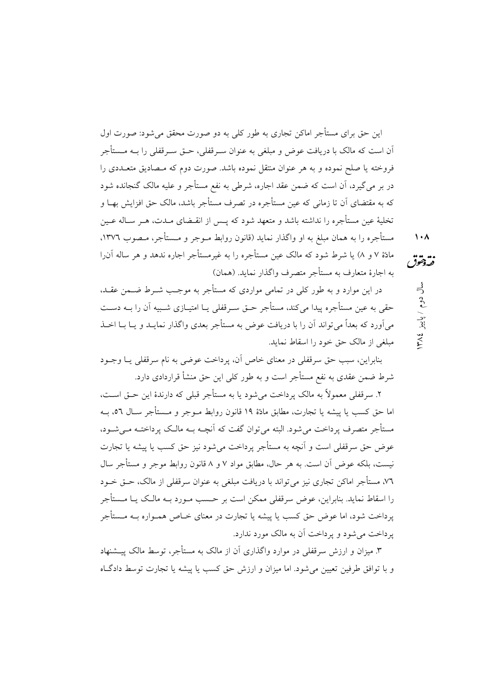این حق برای مستأجر اماکن تجاری به طور کلی به دو صورت محقق می شود: صورت اول آن است که مالک با دریافت عوض و مبلغی به عنوان سـرقفلی، حــق ســرقفلی را بــه مــستأجر فروخته یا صلح نموده و به هر عنوان منتقل نموده باشد. صورت دوم که مـصادیق متعــددی را در بر مي گيرد، اَن است که ضمن عقد اجاره، شرطي به نفع مستأجر و عليه مالک گنجانده شود که به مقتضای آن تا زمانی که عین مستأجره در تصرف مستأجر باشد، مالک حق افزایش بهـا و تخلیهٔ عین مستأجره را نداشته باشد و متعهد شود که پــس از انقــضای مــدت، هــر ســاله عــین مستأجره را به همان مبلغ به او واگذار نماید (قانون روابط مــوجر و مــستأجر، مــصوب ١٣٧٦، مادّهٔ ۷ و ۸) یا شرط شود که مالک عین مستأجره را به غیرمستأجر اجاره ندهد و هر ساله آن(ا به اجارهٔ متعارف به مستأجر متصرف واگذار نماید. (همان)

در این موارد و به طور کلی در تمامی مواردی که مستأجر به موجب شـرط ضـمن عقـد، حقی به عین مستأجره پیدا می کند، مستأجر حــق ســرقفلی یــا امتیــازی شــبیه آن را بــه دســت می اَورد که بعداً می تواند اَن را با دریافت عوض به مستأجر بعدی واگذار نمایــد و یــا بــا اخــذ مبلغی از مالک حق خود را اسقاط نماید.

بنابراين، سبب حق سرقفلي در معناي خاص آن، پرداخت عوضي به نام سرقفلي پــا وجــود شرط ضمن عقدی به نفع مستأجر است و به طور کلی این حق منشأ قراردادی دارد.

۲. سرقفلي معمولاً به مالک پرداخت مي شود يا به مستأجر قبلي که دارندهٔ اين حــق اســت، اما حق كسب يا پيشه يا تجارت، مطابق مادّة ١٩ قانون روابط مــوجر و مــستأجر ســال ٥٦، بــه مستأجر متصرف پرداخت می شود. البته می توان گفت که آنچــه بــه مالــک پرداختــه مــی شــود، عوض حق سرقفلي است و أنچه به مستأجر يرداخت مي شود نيز حق كسب يا پيشه يا تجارت نیست، بلکه عوض آن است. به هر حال، مطابق مواد ۷ و ۸ قانون روابط موجر و مستأجر سال ٧٦، مستأجر اماكن تجارى نيز مىتواند با دريافت مبلغى به عنوان سرقفلى از مالك، حـق خــود را اسقاط نماید. بنابراین، عوض سرقفلی ممکن است بر حسب مـورد بـه مالـک یـا مــستأجر پرداخت شود، اما عوض حق کسب یا پیشه یا تجارت در معنای خــاص همــواره بــه مــستأجر یر داخت می شود و یر داخت آن به مالک مورد ندارد.

۳. میزان و ارزش سرقفلی در موارد واگذاری آن از مالک به مستأجر، توسط مالک پیــشنهاد و با توافق طرفین تعیین می شود. اما میزان و ارزش حق کسب یا پیشه یا تجارت توسط دادگاه

 $\lambda \cdot \lambda$ فتردمقق

سال دوم / پاییز ١٨٤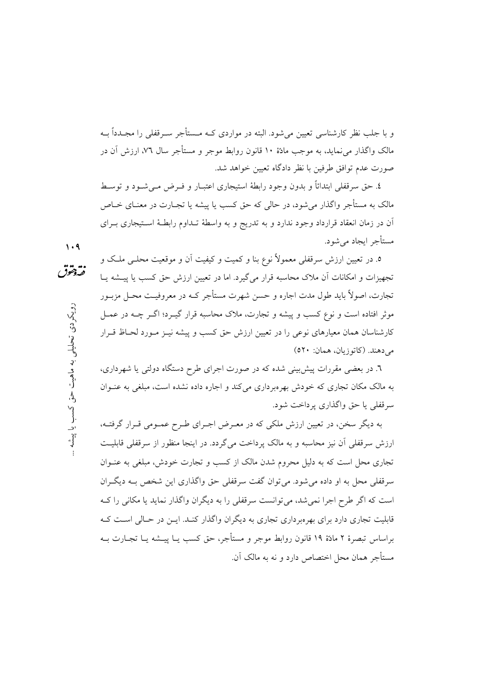و با جلب نظر کارشناسی تعیین می شود. البته در مواردی کــه مــستأجر ســرقفلی را مجــدداً بــه مالک واگذار می نماید، به موجب مادّهٔ ۱۰ قانون روابط موجر و مستأجر سال ۷٦، ارزش آن در صورت عدم توافق طرفين با نظر دادگاه تعيين خواهد شد.

٤. حق سرقفلي ابتدائاً و بدون وجود رابطهٔ استيجاري اعتبــار و فــرض مــي شــود و توســط مالک به مستأجر واگذار می شود، در حالی که حق کسب یا پیشه یا تجـارت در معنــای خــاص آن در زمان انعقاد قرارداد وجود ندارد و به تدریج و به واسطهٔ تـداوم رابطـهٔ اسـتیجاری بـرای مستأجر ايجاد مي شود.

 $1.9$ 

... .....<br>فيدو*هو*ژ

رویکردی تحلیلی به ماهیت حق کسب یا پیشه

٥. در تعیین ارزش سرقفلی معمولاً نوع بنا و کمیت و کیفیت آن و موقعیت محلــی ملــک و تجهیزات و امکانات آن ملاک محاسبه قرار می گیرد. اما در تعیین ارزش حق کسب یا پیشه پیا تجارت، اصولاً باید طول مدت اجاره و حسن شهرت مستأجر کـه در معروفیـت محـل مزبـور موثر افتاده است و نوع کسب و پیشه و تجارت، ملاک محاسبه قرار گیــرد؛ اگــر چــه در عمــل کارشناسان همان معیارهای نوعی را در تعیین ارزش حق کسب و پیشه نیـز مـورد لحـاظ قـرار می دهند. (کاتوزیان، همان: ٥٢٠)

٦. در بعضی مقررات پیش بینی شده که در صورت اجرای طرح دستگاه دولتی یا شهرداری، به مالک مکان تجاری که خودش بهرهبرداری می کند و اجاره داده نشده است، مبلغی به عنـوان سرقفلي يا حق واگذاري پر داخت شود.

به دیگر سخن، در تعیین ارزش ملکی که در معـرض اجـرای طـرح عمـومی قـرار گرفتـه، ارزش سرقفلي أن نيز محاسبه و به مالک يرداخت مي گردد. در اينجا منظور از سرقفلي قابليت تجاری محل است که به دلیل محروم شدن مالک از کسب و تجارت خودش، مبلغی به عنـوان سرقفلی محل به او داده می شود. می توان گفت سرقفلی حق واگذاری این شخص بـه دیگـران است که اگر طرح اجرا نمی شد، می توانست سرقفلی را به دیگران واگذار نماید یا مکانی را ک قابلیت تجاری دارد برای بهرهبرداری تجاری به دیگران واگذار کنـد. ایــن در حـالی اسـت کـه براساس تبصرهٔ ۲ مادّهٔ ۱۹ قانون روابط موجر و مستأجر، حق کسب یــا پیــشه یــا تجــارت بــه مستأجر همان محل اختصاص دارد و نه به مالک آن.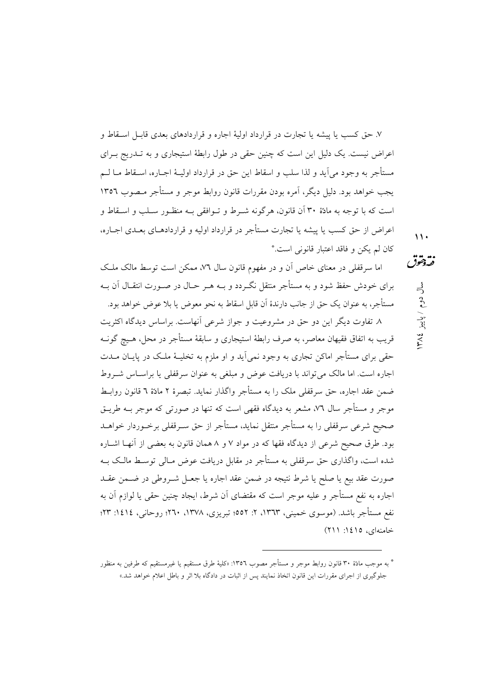۷. حق کسب یا پیشه یا تجارت در قرارداد اولیهٔ اجاره و قراردادهای بعدی قابـل اســقاط و اعراض نیست. یک دلیل این است که چنین حقی در طول رابطهٔ استیجاری و به تــدریج بــرای مستأجر به وجود مي]يد و لذا سلب و اسقاط اين حق در قرارداد اوليــهٔ اجــاره، اســقاط مــا لــم يجب خواهد بود. دليل ديگر، آمره بودن مقررات قانون روابط موجر و مستأجر مـصوب ١٣٥٦ است که با توجه به مادّهٔ ۳۰ آن قانون، هرگونه شـرط و تـوافقی بـه منظـور سـلب و اسـقاط و اعراض از حق کسب یا پیشه یا تجارت مستأجر در قرارداد اولیه و قراردادهـای بعـدی اجـاره، كان لم يكن و فاقد اعتبار قانوني است.\*

اما سرقفلی در معنای خاص آن و در مفهوم قانون سال ۷۲، ممکن است توسط مالک ملک برای خودش حفظ شود و به مستأجر منتقل نگ دد و بــه هــر حــال در صــورت انتقــال آن بــه مستأجر، به عنوان یک حق از جانب دارندهٔ آن قابل اسقاط به نحو معوض یا بلا عوض خواهد بود.

٨. تفاوت ديگر اين دو حق در مشروعيت و جواز شرعي أنهاست. براساس ديدگاه اکثريت قریب به اتفاق فقیهان معاصر، به صرف رابطهٔ استیجاری و سابقهٔ مستأجر در محل، هـیچ گونــه حقی برای مستأجر اماکن تجاری به وجود نمی اَید و او ملزم به تخلیـهٔ ملـک در پایـان مــدت اجاره است. اما مالک می تواند یا دریافت عوض و مبلغی به عنوان سرقفلی یا براسیاس شیروط ضمن عقد اجاره، حقٌّ سرقفلي ملك را به مستأجر واگذار نمايد. تبصرهٔ ۲ مادّهٔ ٦ قانون روابط موجر و مستأجر سال ٧٦، مشعر به دیدگاه فقهی است که تنها در صورتی که موجر بـه طریـق صحيح شرعي سرقفلي را به مستأجر منتقل نمايد، مستأجر از حق سـرقفلي برخـوردار خواهــد بود. طرق صحیح شرعی از دیدگاه فقها که در مواد ۷ و ۸ همان قانون به بعضی از آنهـا اشــاره شده است، واگذاری حق سرقفلی به مستأجر در مقابل دریافت عوض مبالی توسیط مالیک به صورت عقد بيع يا صلح يا شرط نتيجه در ضمن عقد اجاره يا جعـل شـروطي در ضـمن عقـد اجاره به نفع مستأجر و عليه موجر است كه مقتضاي أن شرط، ايجاد چنين حقى يا لوازم أن به نفع مستأجر باشد. (موسوی خمینی، ۱۳۶۳، ۲: ۵۵۲؛ تیریزی، ۱۳۷۸، ۲۰۲۰؛ روحانی، ۱٤۱٤: ۲۳؛ خامنهای، ۱٤۱٥: ۲۱۱)  $\mathbf{y}$ 

نقەدققوق

سال دوم / پاییز ١٣٨٤

<sup>\*</sup> به موجب مادٌه ٣٠ قانون روابط موجر و مستأجر مصوب ١٣٥٦: «كليهٔ طرق مستقيم يا غيرمستقيم كه طرفين به منظور .<br>جلوگیری از اجرای مقررات این قانون اتخاذ نمایند پس از اثبات در دادگاه بلا اثر و باطل اعلام خواهد شد.»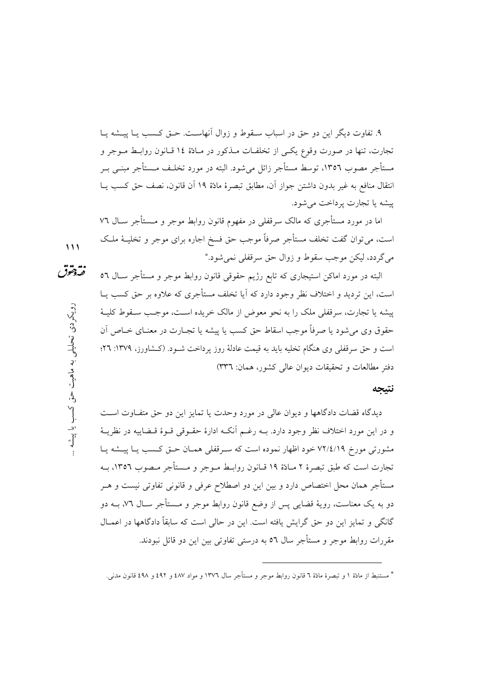۹. تفاوت دیگر این دو حق در اسباب ســقوط و زوال آنهاســت. حــق کــسب یــا پیــشه یــا تجارت، تنها در صورت وقوع يكبي از تخلفـات مــذكور در مــادّة ١٤ قـانون روابــط مــوجر و مستأجر مصوب ١٣٥٦، توسط مستأجر زائل مي شود. البته در مورد تخلـف مـستأجر مبنــي بــر انتقال منافع به غير بدون داشتن جواز أن، مطابق تبصرهٔ مادَّهٔ ١٩ أن قانون، نصف حق كسب يــا پیشه یا تجارت پرداخت می شود.

اما در مورد مستأجری که مالک سرقفلی در مفهوم قانون روابط موجر و مــستأجر ســال ٧٦ است، مي توان گفت تخلف مستأجر صرفاً موجب حق فسخ اجاره براي موجر و تخليــهٔ ملــک مي گردد، ليکن موجب سقوط و زوال حق سرقفلي نمي شود.\* نقهقوق

البته در مورد اماکن استیجاری که تابع رژیم حقوقی قانون روابط موجر و مستأجر سـال ٥٦ است، این تردید و اختلاف نظر وجود دارد که اَیا تخلف مستأجری که علاوه بر حق کسب پــا پیشه یا تجارت، سرقفلی ملک را به نحو معوض از مالک خریده است، موجب سـقوط کلیـهٔ حقوق وي مي شود يا صرفاً موجب اسقاط حق كسب يا پيشه يا تجــارت در معنــاي خــاص أن است و حق سرقفلی وی هنگام تخلیه باید به قیمت عادلهٔ روز پرداخت شـود. (کـشاورز، ۱۳۷۹: ۲۲؛ دفتر مطالعات و تحقیقات دیوان عالی کشور، همان: ٣٣٦)

#### نتيجه

دیدگاه قضات دادگاهها و دیوان عالمی در مورد وحدت یا تمایز این دو حق متفـاوت اسـت و در این مورد اختلاف نظر وجود دارد. بـه رغـم آنکـه ادارهٔ حقـوقی قـوهٔ قـضاییه در نظریـهٔ مشورتی مورخ ۷۲/٤/۱۹ خود اظهار نموده است که سرقفلی همان حتی کسب یا پیشه یا تجارت است که طبق تبصرهٔ ۲ مـادّهٔ ۱۹ قــانون روابــط مــوجر و مــستأجر مــصوب ۱۳۵٦، بــه مستأجر همان محل اختصاص دارد و بین این دو اصطلاح عرفی و قانونی تفاوتی نیست و هـر دو به یک معناست، رویهٔ قضایی پس از وضع قانون روابط موجر و مــستأجر ســال ۷٦، بــه دو گانگی و تمایز این دو حق گرایش یافته است. این در حالی است که سابقاً دادگاهها در اعمــال مقررات روابط موجر و مستأجر سال ٥٦ به درستی تفاوتی بین این دو قائل نبودند.

رویکردی تحلیلی به ماهیت حق کسب یا پیشه

 $\overline{111}$ 

<sup>\*</sup> مستنبط از مادّة ١ و تبصرة مادّة ٦ قانون روابط موجر و مستأجر سال ١٣٧٦ و مواد ٤٨٧ و ٤٩٢ و ٤٩٨ قانون مدني.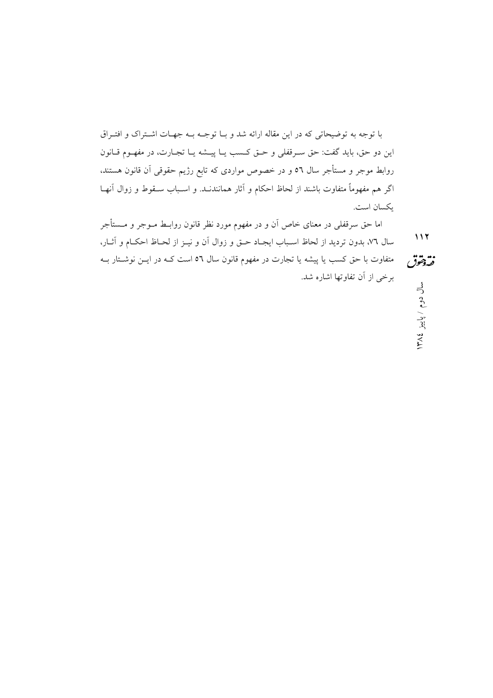با توجه به توضیحاتی که در این مقاله ارائه شد و بـا توجــه بــه جهــات اشــتراک و افتــراق اين دو حق، بايد گفت: حق سـرقفلي و حــق كــسب يــا پيــشه يــا تجــارت، در مفهــوم قــانون روابط موجر و مستأجر سال ٥٦ و در خصوص مواردي كه تابع رژيم حقوقي آن قانون هستند، اگر هم مفهوماً متفاوت باشند از لحاظ احکام و آثار همانندنــد. و اســباب ســقوط و زوال آنهــا ىكسان است.

اما حق سرقفلی در معنای خاص آن و در مفهوم مورد نظر قانون روابـط مــوجر و مــستأجر  $117$ سال ٧٦، بدون ترديد از لحاظ اسـباب ايجـاد حـق و زوال اَن و نيــز از لحــاظ احكــام و اَثــار،

فتردمقوق متفاوت با حق کسب یا پیشه یا تجارت در مفهوم قانون سال ٥٦ است کـه در ایــن نوشــتار بــه برخي از آن تفاوتها اشاره شد. سال دوم / پاییز ١٣٨٤